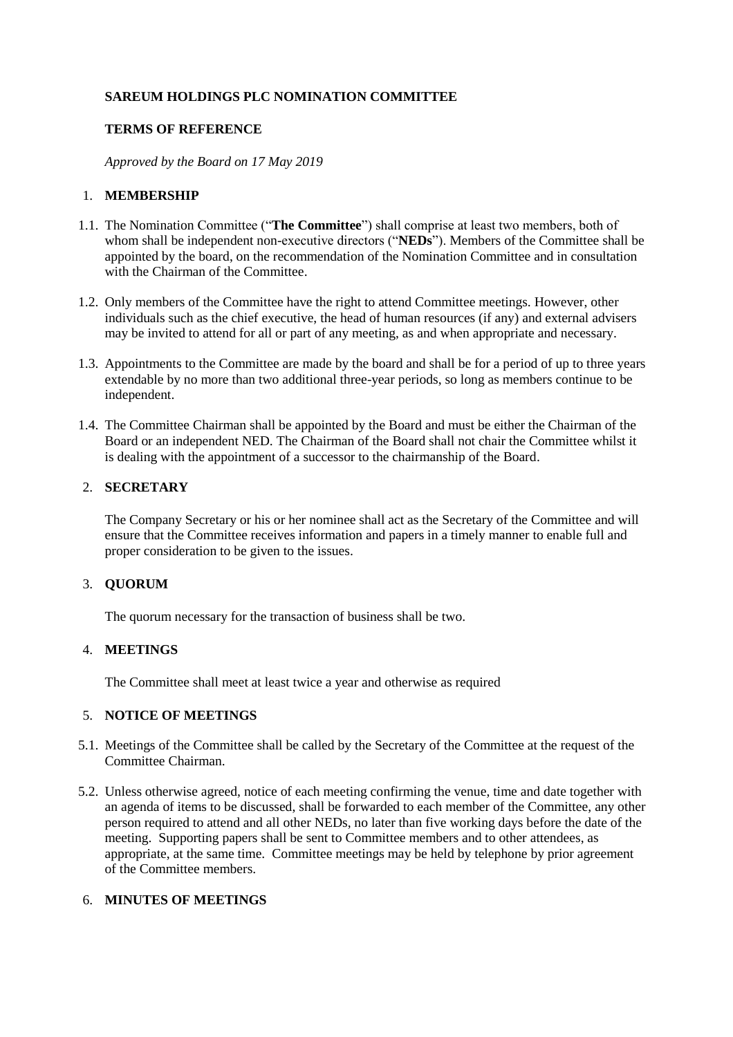## **SAREUM HOLDINGS PLC NOMINATION COMMITTEE**

## **TERMS OF REFERENCE**

*Approved by the Board on 17 May 2019*

### 1. **MEMBERSHIP**

- 1.1. The Nomination Committee ("**The Committee**") shall comprise at least two members, both of whom shall be independent non-executive directors ("**NEDs**"). Members of the Committee shall be appointed by the board, on the recommendation of the Nomination Committee and in consultation with the Chairman of the Committee.
- 1.2. Only members of the Committee have the right to attend Committee meetings. However, other individuals such as the chief executive, the head of human resources (if any) and external advisers may be invited to attend for all or part of any meeting, as and when appropriate and necessary.
- 1.3. Appointments to the Committee are made by the board and shall be for a period of up to three years extendable by no more than two additional three-year periods, so long as members continue to be independent.
- 1.4. The Committee Chairman shall be appointed by the Board and must be either the Chairman of the Board or an independent NED. The Chairman of the Board shall not chair the Committee whilst it is dealing with the appointment of a successor to the chairmanship of the Board.

### 2. **SECRETARY**

The Company Secretary or his or her nominee shall act as the Secretary of the Committee and will ensure that the Committee receives information and papers in a timely manner to enable full and proper consideration to be given to the issues.

## 3. **QUORUM**

The quorum necessary for the transaction of business shall be two.

### 4. **MEETINGS**

The Committee shall meet at least twice a year and otherwise as required

### 5. **NOTICE OF MEETINGS**

- 5.1. Meetings of the Committee shall be called by the Secretary of the Committee at the request of the Committee Chairman.
- 5.2. Unless otherwise agreed, notice of each meeting confirming the venue, time and date together with an agenda of items to be discussed, shall be forwarded to each member of the Committee, any other person required to attend and all other NEDs, no later than five working days before the date of the meeting. Supporting papers shall be sent to Committee members and to other attendees, as appropriate, at the same time. Committee meetings may be held by telephone by prior agreement of the Committee members.

## 6. **MINUTES OF MEETINGS**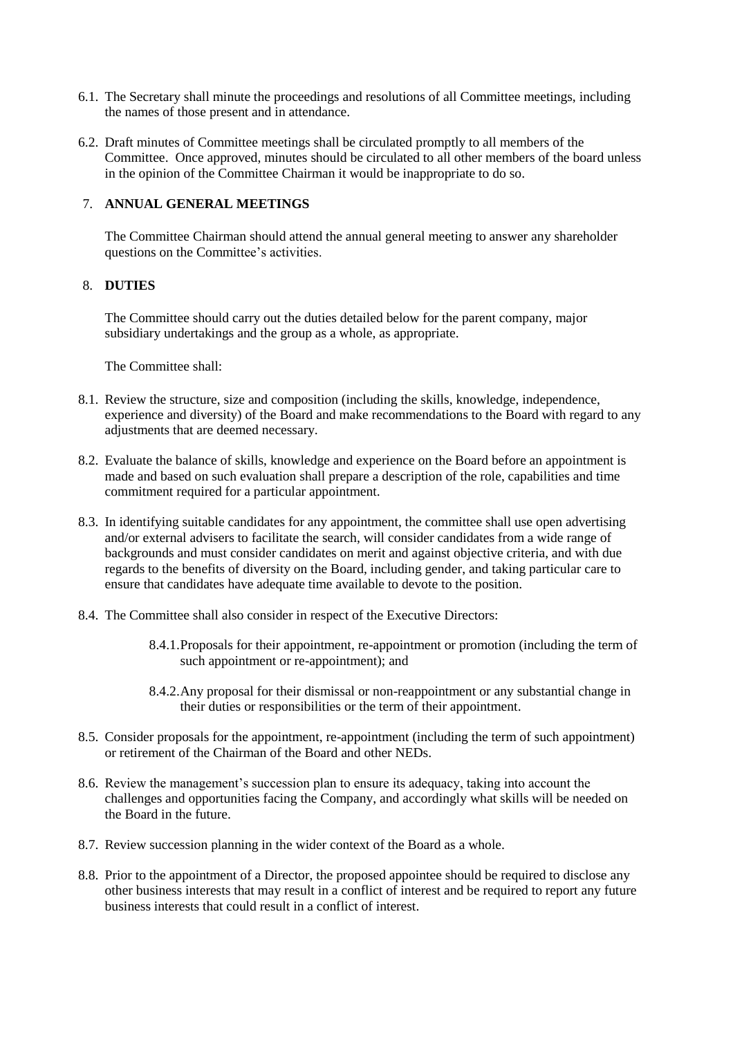- 6.1. The Secretary shall minute the proceedings and resolutions of all Committee meetings, including the names of those present and in attendance.
- 6.2. Draft minutes of Committee meetings shall be circulated promptly to all members of the Committee. Once approved, minutes should be circulated to all other members of the board unless in the opinion of the Committee Chairman it would be inappropriate to do so.

## 7. **ANNUAL GENERAL MEETINGS**

The Committee Chairman should attend the annual general meeting to answer any shareholder questions on the Committee's activities.

### 8. **DUTIES**

The Committee should carry out the duties detailed below for the parent company, major subsidiary undertakings and the group as a whole, as appropriate.

The Committee shall:

- 8.1. Review the structure, size and composition (including the skills, knowledge, independence, experience and diversity) of the Board and make recommendations to the Board with regard to any adjustments that are deemed necessary.
- 8.2. Evaluate the balance of skills, knowledge and experience on the Board before an appointment is made and based on such evaluation shall prepare a description of the role, capabilities and time commitment required for a particular appointment.
- 8.3. In identifying suitable candidates for any appointment, the committee shall use open advertising and/or external advisers to facilitate the search, will consider candidates from a wide range of backgrounds and must consider candidates on merit and against objective criteria, and with due regards to the benefits of diversity on the Board, including gender, and taking particular care to ensure that candidates have adequate time available to devote to the position.
- 8.4. The Committee shall also consider in respect of the Executive Directors:
	- 8.4.1.Proposals for their appointment, re-appointment or promotion (including the term of such appointment or re-appointment); and
	- 8.4.2.Any proposal for their dismissal or non-reappointment or any substantial change in their duties or responsibilities or the term of their appointment.
- 8.5. Consider proposals for the appointment, re-appointment (including the term of such appointment) or retirement of the Chairman of the Board and other NEDs.
- 8.6. Review the management's succession plan to ensure its adequacy, taking into account the challenges and opportunities facing the Company, and accordingly what skills will be needed on the Board in the future.
- 8.7. Review succession planning in the wider context of the Board as a whole.
- 8.8. Prior to the appointment of a Director, the proposed appointee should be required to disclose any other business interests that may result in a conflict of interest and be required to report any future business interests that could result in a conflict of interest.